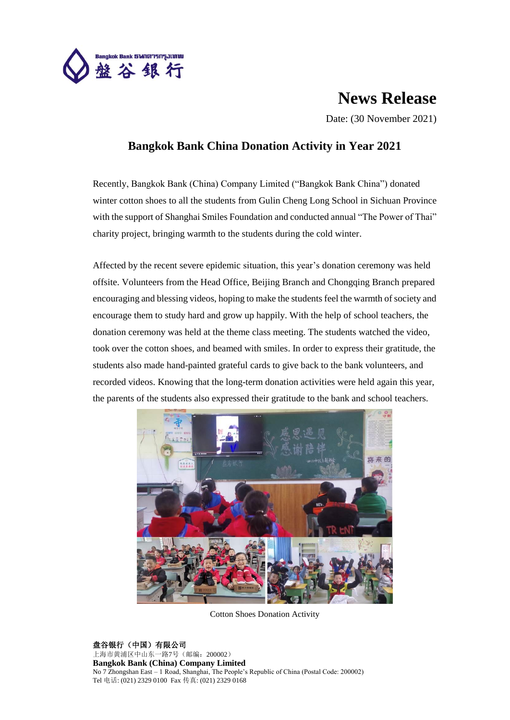

## **News Release**

Date: (30 November 2021)

## **Bangkok Bank China Donation Activity in Year 2021**

Recently, Bangkok Bank (China) Company Limited ("Bangkok Bank China") donated winter cotton shoes to all the students from Gulin Cheng Long School in Sichuan Province with the support of Shanghai Smiles Foundation and conducted annual "The Power of Thai" charity project, bringing warmth to the students during the cold winter.

Affected by the recent severe epidemic situation, this year's donation ceremony was held offsite. Volunteers from the Head Office, Beijing Branch and Chongqing Branch prepared encouraging and blessing videos, hoping to make the students feel the warmth of society and encourage them to study hard and grow up happily. With the help of school teachers, the donation ceremony was held at the theme class meeting. The students watched the video, took over the cotton shoes, and beamed with smiles. In order to express their gratitude, the students also made hand-painted grateful cards to give back to the bank volunteers, and recorded videos. Knowing that the long-term donation activities were held again this year, the parents of the students also expressed their gratitude to the bank and school teachers.



Cotton Shoes Donation Activity